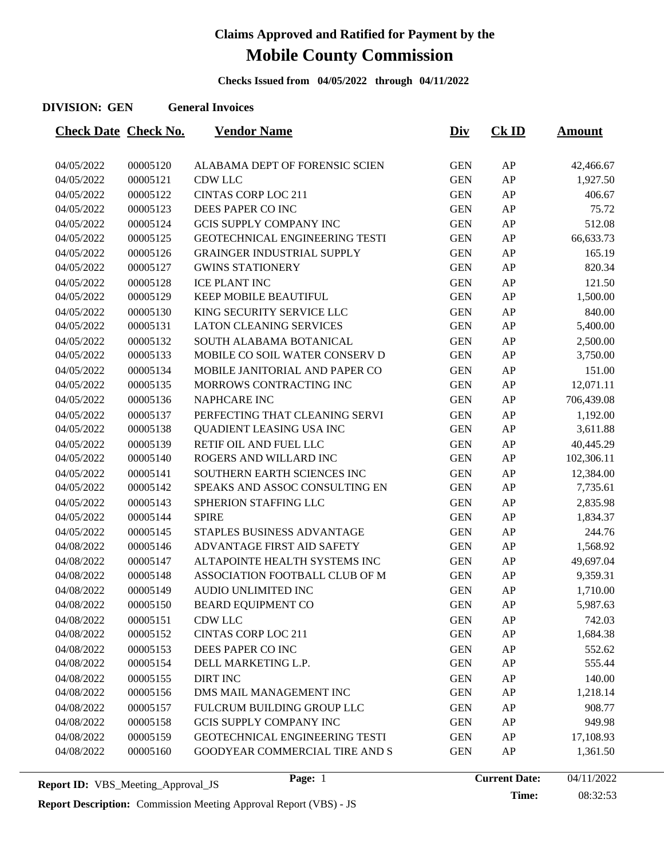**Checks Issued from 04/05/2022 through 04/11/2022**

#### **DIVISION: GEN General Invoices**

| <b>Check Date Check No.</b> |          | <b>Vendor Name</b>                | <u>Div</u> | $CK$ ID | <b>Amount</b> |
|-----------------------------|----------|-----------------------------------|------------|---------|---------------|
|                             |          |                                   |            |         |               |
| 04/05/2022                  | 00005120 | ALABAMA DEPT OF FORENSIC SCIEN    | <b>GEN</b> | AP      | 42,466.67     |
| 04/05/2022                  | 00005121 | <b>CDW LLC</b>                    | <b>GEN</b> | AP      | 1,927.50      |
| 04/05/2022                  | 00005122 | <b>CINTAS CORP LOC 211</b>        | <b>GEN</b> | AP      | 406.67        |
| 04/05/2022                  | 00005123 | DEES PAPER CO INC                 | <b>GEN</b> | AP      | 75.72         |
| 04/05/2022                  | 00005124 | <b>GCIS SUPPLY COMPANY INC</b>    | <b>GEN</b> | AP      | 512.08        |
| 04/05/2022                  | 00005125 | GEOTECHNICAL ENGINEERING TESTI    | <b>GEN</b> | AP      | 66,633.73     |
| 04/05/2022                  | 00005126 | <b>GRAINGER INDUSTRIAL SUPPLY</b> | <b>GEN</b> | AP      | 165.19        |
| 04/05/2022                  | 00005127 | <b>GWINS STATIONERY</b>           | <b>GEN</b> | AP      | 820.34        |
| 04/05/2022                  | 00005128 | <b>ICE PLANT INC</b>              | <b>GEN</b> | AP      | 121.50        |
| 04/05/2022                  | 00005129 | <b>KEEP MOBILE BEAUTIFUL</b>      | <b>GEN</b> | AP      | 1,500.00      |
| 04/05/2022                  | 00005130 | KING SECURITY SERVICE LLC         | <b>GEN</b> | AP      | 840.00        |
| 04/05/2022                  | 00005131 | <b>LATON CLEANING SERVICES</b>    | <b>GEN</b> | AP      | 5,400.00      |
| 04/05/2022                  | 00005132 | SOUTH ALABAMA BOTANICAL           | <b>GEN</b> | AP      | 2,500.00      |
| 04/05/2022                  | 00005133 | MOBILE CO SOIL WATER CONSERV D    | <b>GEN</b> | AP      | 3,750.00      |
| 04/05/2022                  | 00005134 | MOBILE JANITORIAL AND PAPER CO    | <b>GEN</b> | AP      | 151.00        |
| 04/05/2022                  | 00005135 | MORROWS CONTRACTING INC           | <b>GEN</b> | AP      | 12,071.11     |
| 04/05/2022                  | 00005136 | NAPHCARE INC                      | <b>GEN</b> | AP      | 706,439.08    |
| 04/05/2022                  | 00005137 | PERFECTING THAT CLEANING SERVI    | <b>GEN</b> | AP      | 1,192.00      |
| 04/05/2022                  | 00005138 | QUADIENT LEASING USA INC          | <b>GEN</b> | AP      | 3,611.88      |
| 04/05/2022                  | 00005139 | RETIF OIL AND FUEL LLC            | <b>GEN</b> | AP      | 40,445.29     |
| 04/05/2022                  | 00005140 | ROGERS AND WILLARD INC            | <b>GEN</b> | AP      | 102,306.11    |
| 04/05/2022                  | 00005141 | SOUTHERN EARTH SCIENCES INC       | <b>GEN</b> | AP      | 12,384.00     |
| 04/05/2022                  | 00005142 | SPEAKS AND ASSOC CONSULTING EN    | <b>GEN</b> | AP      | 7,735.61      |
| 04/05/2022                  | 00005143 | SPHERION STAFFING LLC             | <b>GEN</b> | AP      | 2,835.98      |
| 04/05/2022                  | 00005144 | <b>SPIRE</b>                      | <b>GEN</b> | AP      | 1,834.37      |
| 04/05/2022                  | 00005145 | STAPLES BUSINESS ADVANTAGE        | <b>GEN</b> | AP      | 244.76        |
| 04/08/2022                  | 00005146 | ADVANTAGE FIRST AID SAFETY        | <b>GEN</b> | AP      | 1,568.92      |
| 04/08/2022                  | 00005147 | ALTAPOINTE HEALTH SYSTEMS INC     | <b>GEN</b> | AP      | 49,697.04     |
| 04/08/2022                  | 00005148 | ASSOCIATION FOOTBALL CLUB OF M    | <b>GEN</b> | AP      | 9,359.31      |
| 04/08/2022                  | 00005149 | AUDIO UNLIMITED INC               | <b>GEN</b> | AP      | 1,710.00      |
| 04/08/2022                  | 00005150 | <b>BEARD EQUIPMENT CO</b>         | <b>GEN</b> | AP      | 5,987.63      |
| 04/08/2022                  | 00005151 | CDW LLC                           | <b>GEN</b> | AP      | 742.03        |
| 04/08/2022                  | 00005152 | <b>CINTAS CORP LOC 211</b>        | <b>GEN</b> | AP      | 1,684.38      |
| 04/08/2022                  | 00005153 | DEES PAPER CO INC                 | <b>GEN</b> | AP      | 552.62        |
| 04/08/2022                  | 00005154 | DELL MARKETING L.P.               | <b>GEN</b> | AP      | 555.44        |
| 04/08/2022                  | 00005155 | <b>DIRT INC</b>                   | <b>GEN</b> | AP      | 140.00        |
| 04/08/2022                  | 00005156 | DMS MAIL MANAGEMENT INC           | <b>GEN</b> | AP      | 1,218.14      |
| 04/08/2022                  | 00005157 | FULCRUM BUILDING GROUP LLC        | <b>GEN</b> | AP      | 908.77        |
| 04/08/2022                  | 00005158 | <b>GCIS SUPPLY COMPANY INC</b>    | <b>GEN</b> | AP      | 949.98        |
| 04/08/2022                  | 00005159 | GEOTECHNICAL ENGINEERING TESTI    | <b>GEN</b> | AP      | 17,108.93     |
| 04/08/2022                  | 00005160 | GOODYEAR COMMERCIAL TIRE AND S    | <b>GEN</b> | AP      | 1,361.50      |
|                             |          |                                   |            |         |               |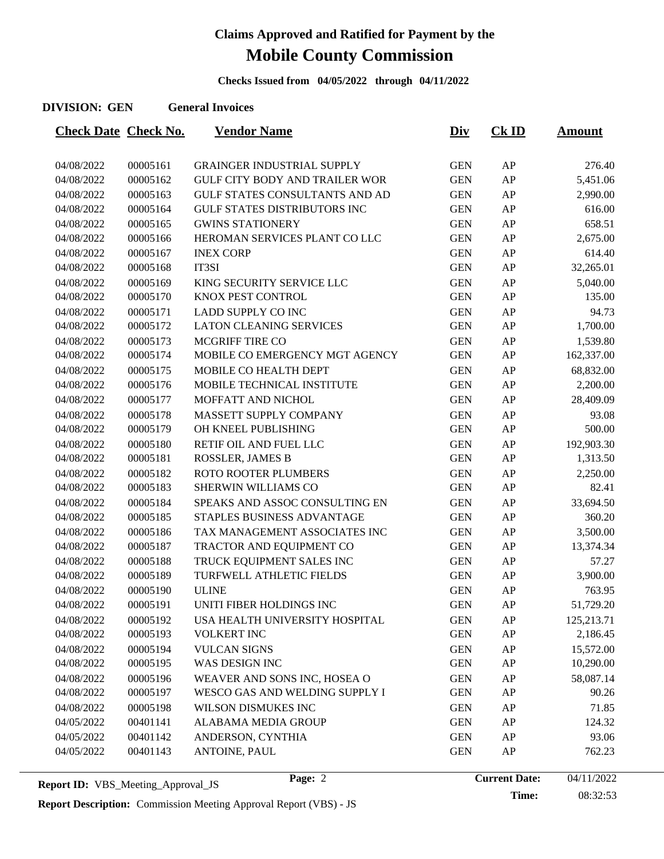**Checks Issued from 04/05/2022 through 04/11/2022**

#### **DIVISION: GEN General Invoices**

| <b>Check Date Check No.</b> |          | <b>Vendor Name</b>                    | <u>Div</u> | <b>Ck ID</b> | <u>Amount</u> |
|-----------------------------|----------|---------------------------------------|------------|--------------|---------------|
|                             |          |                                       |            |              |               |
| 04/08/2022                  | 00005161 | <b>GRAINGER INDUSTRIAL SUPPLY</b>     | <b>GEN</b> | AP           | 276.40        |
| 04/08/2022                  | 00005162 | <b>GULF CITY BODY AND TRAILER WOR</b> | <b>GEN</b> | AP           | 5,451.06      |
| 04/08/2022                  | 00005163 | GULF STATES CONSULTANTS AND AD        | <b>GEN</b> | AP           | 2,990.00      |
| 04/08/2022                  | 00005164 | <b>GULF STATES DISTRIBUTORS INC</b>   | <b>GEN</b> | AP           | 616.00        |
| 04/08/2022                  | 00005165 | <b>GWINS STATIONERY</b>               | <b>GEN</b> | AP           | 658.51        |
| 04/08/2022                  | 00005166 | HEROMAN SERVICES PLANT CO LLC         | <b>GEN</b> | AP           | 2,675.00      |
| 04/08/2022                  | 00005167 | <b>INEX CORP</b>                      | <b>GEN</b> | AP           | 614.40        |
| 04/08/2022                  | 00005168 | IT3SI                                 | <b>GEN</b> | AP           | 32,265.01     |
| 04/08/2022                  | 00005169 | KING SECURITY SERVICE LLC             | <b>GEN</b> | AP           | 5,040.00      |
| 04/08/2022                  | 00005170 | KNOX PEST CONTROL                     | <b>GEN</b> | AP           | 135.00        |
| 04/08/2022                  | 00005171 | <b>LADD SUPPLY CO INC</b>             | <b>GEN</b> | AP           | 94.73         |
| 04/08/2022                  | 00005172 | <b>LATON CLEANING SERVICES</b>        | <b>GEN</b> | AP           | 1,700.00      |
| 04/08/2022                  | 00005173 | <b>MCGRIFF TIRE CO</b>                | <b>GEN</b> | AP           | 1,539.80      |
| 04/08/2022                  | 00005174 | MOBILE CO EMERGENCY MGT AGENCY        | <b>GEN</b> | AP           | 162,337.00    |
| 04/08/2022                  | 00005175 | MOBILE CO HEALTH DEPT                 | <b>GEN</b> | AP           | 68,832.00     |
| 04/08/2022                  | 00005176 | MOBILE TECHNICAL INSTITUTE            | <b>GEN</b> | AP           | 2,200.00      |
| 04/08/2022                  | 00005177 | MOFFATT AND NICHOL                    | <b>GEN</b> | AP           | 28,409.09     |
| 04/08/2022                  | 00005178 | MASSETT SUPPLY COMPANY                | <b>GEN</b> | AP           | 93.08         |
| 04/08/2022                  | 00005179 | OH KNEEL PUBLISHING                   | <b>GEN</b> | AP           | 500.00        |
| 04/08/2022                  | 00005180 | RETIF OIL AND FUEL LLC                | <b>GEN</b> | AP           | 192,903.30    |
| 04/08/2022                  | 00005181 | ROSSLER, JAMES B                      | <b>GEN</b> | AP           | 1,313.50      |
| 04/08/2022                  | 00005182 | <b>ROTO ROOTER PLUMBERS</b>           | <b>GEN</b> | AP           | 2,250.00      |
| 04/08/2022                  | 00005183 | SHERWIN WILLIAMS CO                   | <b>GEN</b> | AP           | 82.41         |
| 04/08/2022                  | 00005184 | SPEAKS AND ASSOC CONSULTING EN        | <b>GEN</b> | AP           | 33,694.50     |
| 04/08/2022                  | 00005185 | STAPLES BUSINESS ADVANTAGE            | <b>GEN</b> | AP           | 360.20        |
| 04/08/2022                  | 00005186 | TAX MANAGEMENT ASSOCIATES INC         | <b>GEN</b> | AP           | 3,500.00      |
| 04/08/2022                  | 00005187 | TRACTOR AND EQUIPMENT CO              | <b>GEN</b> | AP           | 13,374.34     |
| 04/08/2022                  | 00005188 | TRUCK EQUIPMENT SALES INC             | <b>GEN</b> | AP           | 57.27         |
| 04/08/2022                  | 00005189 | TURFWELL ATHLETIC FIELDS              | <b>GEN</b> | AP           | 3,900.00      |
| 04/08/2022                  | 00005190 | <b>ULINE</b>                          | <b>GEN</b> | AP           | 763.95        |
| 04/08/2022                  | 00005191 | UNITI FIBER HOLDINGS INC              | <b>GEN</b> | AP           | 51,729.20     |
| 04/08/2022                  | 00005192 | USA HEALTH UNIVERSITY HOSPITAL        | <b>GEN</b> | AP           | 125,213.71    |
| 04/08/2022                  | 00005193 | <b>VOLKERT INC</b>                    | <b>GEN</b> | AP           | 2,186.45      |
| 04/08/2022                  | 00005194 | <b>VULCAN SIGNS</b>                   | <b>GEN</b> | AP           | 15,572.00     |
| 04/08/2022                  | 00005195 | WAS DESIGN INC                        | <b>GEN</b> | AP           | 10,290.00     |
| 04/08/2022                  | 00005196 | WEAVER AND SONS INC, HOSEA O          | <b>GEN</b> | AP           | 58,087.14     |
| 04/08/2022                  | 00005197 | WESCO GAS AND WELDING SUPPLY I        | <b>GEN</b> | AP           | 90.26         |
| 04/08/2022                  | 00005198 | WILSON DISMUKES INC                   | <b>GEN</b> | AP           | 71.85         |
| 04/05/2022                  | 00401141 | ALABAMA MEDIA GROUP                   | <b>GEN</b> | AP           | 124.32        |
| 04/05/2022                  | 00401142 | ANDERSON, CYNTHIA                     | <b>GEN</b> | AP           | 93.06         |
| 04/05/2022                  | 00401143 | ANTOINE, PAUL                         | <b>GEN</b> | AP           | 762.23        |
|                             |          |                                       |            |              |               |

**Time:** 08:32:53

**Report Description:** Commission Meeting Approval Report (VBS) - JS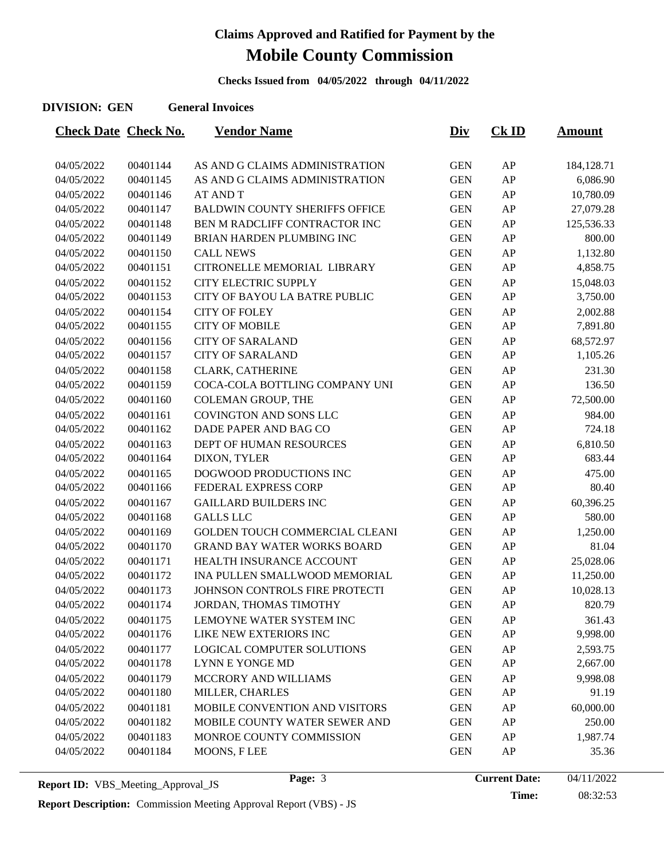**Checks Issued from 04/05/2022 through 04/11/2022**

#### **DIVISION: GEN General Invoices**

| <b>Check Date Check No.</b> |          | <b>Vendor Name</b>                    | <u>Div</u> | <b>Ck ID</b> | <b>Amount</b> |
|-----------------------------|----------|---------------------------------------|------------|--------------|---------------|
|                             |          |                                       |            |              |               |
| 04/05/2022                  | 00401144 | AS AND G CLAIMS ADMINISTRATION        | <b>GEN</b> | AP           | 184,128.71    |
| 04/05/2022                  | 00401145 | AS AND G CLAIMS ADMINISTRATION        | <b>GEN</b> | AP           | 6,086.90      |
| 04/05/2022                  | 00401146 | <b>AT AND T</b>                       | <b>GEN</b> | AP           | 10,780.09     |
| 04/05/2022                  | 00401147 | <b>BALDWIN COUNTY SHERIFFS OFFICE</b> | <b>GEN</b> | AP           | 27,079.28     |
| 04/05/2022                  | 00401148 | BEN M RADCLIFF CONTRACTOR INC         | <b>GEN</b> | AP           | 125,536.33    |
| 04/05/2022                  | 00401149 | BRIAN HARDEN PLUMBING INC             | <b>GEN</b> | AP           | 800.00        |
| 04/05/2022                  | 00401150 | <b>CALL NEWS</b>                      | <b>GEN</b> | AP           | 1,132.80      |
| 04/05/2022                  | 00401151 | CITRONELLE MEMORIAL LIBRARY           | <b>GEN</b> | AP           | 4,858.75      |
| 04/05/2022                  | 00401152 | CITY ELECTRIC SUPPLY                  | <b>GEN</b> | AP           | 15,048.03     |
| 04/05/2022                  | 00401153 | CITY OF BAYOU LA BATRE PUBLIC         | <b>GEN</b> | AP           | 3,750.00      |
| 04/05/2022                  | 00401154 | <b>CITY OF FOLEY</b>                  | <b>GEN</b> | AP           | 2,002.88      |
| 04/05/2022                  | 00401155 | <b>CITY OF MOBILE</b>                 | <b>GEN</b> | AP           | 7,891.80      |
| 04/05/2022                  | 00401156 | <b>CITY OF SARALAND</b>               | <b>GEN</b> | AP           | 68,572.97     |
| 04/05/2022                  | 00401157 | <b>CITY OF SARALAND</b>               | <b>GEN</b> | AP           | 1,105.26      |
| 04/05/2022                  | 00401158 | <b>CLARK, CATHERINE</b>               | <b>GEN</b> | AP           | 231.30        |
| 04/05/2022                  | 00401159 | COCA-COLA BOTTLING COMPANY UNI        | <b>GEN</b> | AP           | 136.50        |
| 04/05/2022                  | 00401160 | <b>COLEMAN GROUP, THE</b>             | <b>GEN</b> | AP           | 72,500.00     |
| 04/05/2022                  | 00401161 | COVINGTON AND SONS LLC                | <b>GEN</b> | AP           | 984.00        |
| 04/05/2022                  | 00401162 | DADE PAPER AND BAG CO                 | <b>GEN</b> | AP           | 724.18        |
| 04/05/2022                  | 00401163 | DEPT OF HUMAN RESOURCES               | <b>GEN</b> | AP           | 6,810.50      |
| 04/05/2022                  | 00401164 | DIXON, TYLER                          | <b>GEN</b> | AP           | 683.44        |
| 04/05/2022                  | 00401165 | DOGWOOD PRODUCTIONS INC               | <b>GEN</b> | AP           | 475.00        |
| 04/05/2022                  | 00401166 | FEDERAL EXPRESS CORP                  | <b>GEN</b> | AP           | 80.40         |
| 04/05/2022                  | 00401167 | <b>GAILLARD BUILDERS INC</b>          | <b>GEN</b> | AP           | 60,396.25     |
| 04/05/2022                  | 00401168 | <b>GALLS LLC</b>                      | <b>GEN</b> | AP           | 580.00        |
| 04/05/2022                  | 00401169 | GOLDEN TOUCH COMMERCIAL CLEANI        | <b>GEN</b> | AP           | 1,250.00      |
| 04/05/2022                  | 00401170 | <b>GRAND BAY WATER WORKS BOARD</b>    | <b>GEN</b> | AP           | 81.04         |
| 04/05/2022                  | 00401171 | HEALTH INSURANCE ACCOUNT              | <b>GEN</b> | AP           | 25,028.06     |
| 04/05/2022                  | 00401172 | INA PULLEN SMALLWOOD MEMORIAL         | <b>GEN</b> | AP           | 11,250.00     |
| 04/05/2022                  | 00401173 | JOHNSON CONTROLS FIRE PROTECTI        | <b>GEN</b> | AP           | 10,028.13     |
| 04/05/2022                  | 00401174 | JORDAN, THOMAS TIMOTHY                | <b>GEN</b> | AP           | 820.79        |
| 04/05/2022                  | 00401175 | LEMOYNE WATER SYSTEM INC              | <b>GEN</b> | AP           | 361.43        |
| 04/05/2022                  | 00401176 | LIKE NEW EXTERIORS INC                | <b>GEN</b> | AP           | 9,998.00      |
| 04/05/2022                  | 00401177 | LOGICAL COMPUTER SOLUTIONS            | <b>GEN</b> | AP           | 2,593.75      |
| 04/05/2022                  | 00401178 | LYNN E YONGE MD                       | <b>GEN</b> | AP           | 2,667.00      |
| 04/05/2022                  | 00401179 | MCCRORY AND WILLIAMS                  | <b>GEN</b> | AP           | 9,998.08      |
| 04/05/2022                  | 00401180 | MILLER, CHARLES                       | <b>GEN</b> | AP           | 91.19         |
| 04/05/2022                  | 00401181 | MOBILE CONVENTION AND VISITORS        | <b>GEN</b> | AP           | 60,000.00     |
| 04/05/2022                  | 00401182 | MOBILE COUNTY WATER SEWER AND         | <b>GEN</b> | AP           | 250.00        |
| 04/05/2022                  | 00401183 | MONROE COUNTY COMMISSION              | <b>GEN</b> | AP           | 1,987.74      |
| 04/05/2022                  | 00401184 | MOONS, FLEE                           | <b>GEN</b> | AP           | 35.36         |
|                             |          |                                       |            |              |               |

**Report Description:** Commission Meeting Approval Report (VBS) - JS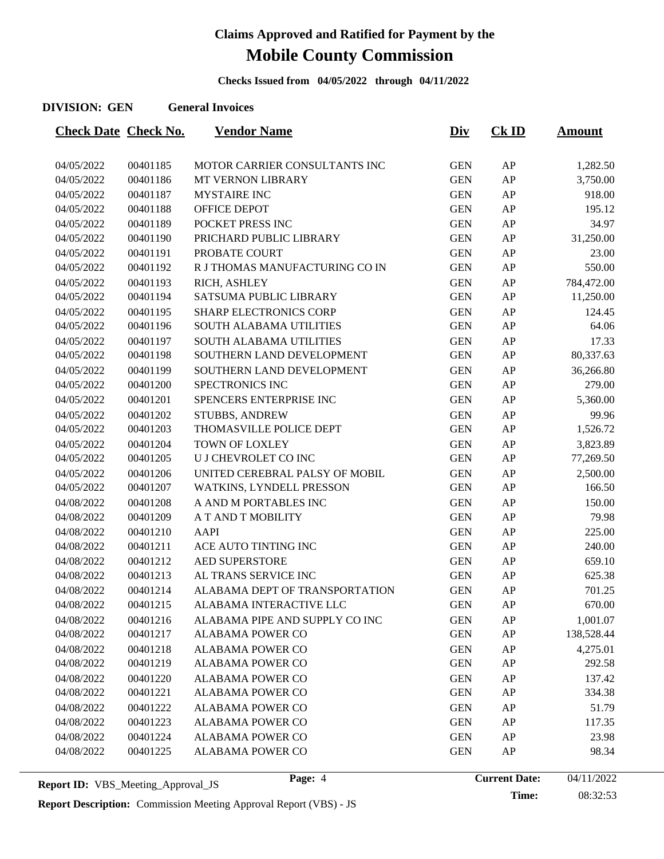**Checks Issued from 04/05/2022 through 04/11/2022**

#### **DIVISION: GEN General Invoices**

| <b>Check Date Check No.</b> |          | <b>Vendor Name</b>             | <u>Div</u> | $CK$ ID | <u>Amount</u> |
|-----------------------------|----------|--------------------------------|------------|---------|---------------|
|                             |          |                                |            |         |               |
| 04/05/2022                  | 00401185 | MOTOR CARRIER CONSULTANTS INC  | <b>GEN</b> | AP      | 1,282.50      |
| 04/05/2022                  | 00401186 | MT VERNON LIBRARY              | <b>GEN</b> | AP      | 3,750.00      |
| 04/05/2022                  | 00401187 | <b>MYSTAIRE INC</b>            | <b>GEN</b> | AP      | 918.00        |
| 04/05/2022                  | 00401188 | OFFICE DEPOT                   | <b>GEN</b> | AP      | 195.12        |
| 04/05/2022                  | 00401189 | POCKET PRESS INC               | <b>GEN</b> | AP      | 34.97         |
| 04/05/2022                  | 00401190 | PRICHARD PUBLIC LIBRARY        | <b>GEN</b> | AP      | 31,250.00     |
| 04/05/2022                  | 00401191 | PROBATE COURT                  | <b>GEN</b> | AP      | 23.00         |
| 04/05/2022                  | 00401192 | R J THOMAS MANUFACTURING CO IN | <b>GEN</b> | AP      | 550.00        |
| 04/05/2022                  | 00401193 | RICH, ASHLEY                   | <b>GEN</b> | AP      | 784,472.00    |
| 04/05/2022                  | 00401194 | SATSUMA PUBLIC LIBRARY         | <b>GEN</b> | AP      | 11,250.00     |
| 04/05/2022                  | 00401195 | <b>SHARP ELECTRONICS CORP</b>  | <b>GEN</b> | AP      | 124.45        |
| 04/05/2022                  | 00401196 | <b>SOUTH ALABAMA UTILITIES</b> | <b>GEN</b> | AP      | 64.06         |
| 04/05/2022                  | 00401197 | <b>SOUTH ALABAMA UTILITIES</b> | <b>GEN</b> | AP      | 17.33         |
| 04/05/2022                  | 00401198 | SOUTHERN LAND DEVELOPMENT      | <b>GEN</b> | AP      | 80,337.63     |
| 04/05/2022                  | 00401199 | SOUTHERN LAND DEVELOPMENT      | <b>GEN</b> | AP      | 36,266.80     |
| 04/05/2022                  | 00401200 | SPECTRONICS INC                | <b>GEN</b> | AP      | 279.00        |
| 04/05/2022                  | 00401201 | SPENCERS ENTERPRISE INC        | <b>GEN</b> | AP      | 5,360.00      |
| 04/05/2022                  | 00401202 | <b>STUBBS, ANDREW</b>          | <b>GEN</b> | AP      | 99.96         |
| 04/05/2022                  | 00401203 | THOMASVILLE POLICE DEPT        | <b>GEN</b> | AP      | 1,526.72      |
| 04/05/2022                  | 00401204 | TOWN OF LOXLEY                 | <b>GEN</b> | AP      | 3,823.89      |
| 04/05/2022                  | 00401205 | U J CHEVROLET CO INC           | <b>GEN</b> | AP      | 77,269.50     |
| 04/05/2022                  | 00401206 | UNITED CEREBRAL PALSY OF MOBIL | <b>GEN</b> | AP      | 2,500.00      |
| 04/05/2022                  | 00401207 | WATKINS, LYNDELL PRESSON       | <b>GEN</b> | AP      | 166.50        |
| 04/08/2022                  | 00401208 | A AND M PORTABLES INC          | <b>GEN</b> | AP      | 150.00        |
| 04/08/2022                  | 00401209 | A T AND T MOBILITY             | <b>GEN</b> | AP      | 79.98         |
| 04/08/2022                  | 00401210 | <b>AAPI</b>                    | <b>GEN</b> | AP      | 225.00        |
| 04/08/2022                  | 00401211 | ACE AUTO TINTING INC           | <b>GEN</b> | AP      | 240.00        |
| 04/08/2022                  | 00401212 | <b>AED SUPERSTORE</b>          | <b>GEN</b> | AP      | 659.10        |
| 04/08/2022                  | 00401213 | AL TRANS SERVICE INC           | <b>GEN</b> | AP      | 625.38        |
| 04/08/2022                  | 00401214 | ALABAMA DEPT OF TRANSPORTATION | <b>GEN</b> | AP      | 701.25        |
| 04/08/2022                  | 00401215 | ALABAMA INTERACTIVE LLC        | <b>GEN</b> | AP      | 670.00        |
| 04/08/2022                  | 00401216 | ALABAMA PIPE AND SUPPLY CO INC | <b>GEN</b> | AP      | 1,001.07      |
| 04/08/2022                  | 00401217 | <b>ALABAMA POWER CO</b>        | <b>GEN</b> | AP      | 138,528.44    |
| 04/08/2022                  | 00401218 | <b>ALABAMA POWER CO</b>        | <b>GEN</b> | AP      | 4,275.01      |
| 04/08/2022                  | 00401219 | ALABAMA POWER CO               | <b>GEN</b> | AP      | 292.58        |
| 04/08/2022                  | 00401220 | <b>ALABAMA POWER CO</b>        | <b>GEN</b> | AP      | 137.42        |
| 04/08/2022                  | 00401221 | <b>ALABAMA POWER CO</b>        | <b>GEN</b> | AP      | 334.38        |
| 04/08/2022                  | 00401222 | <b>ALABAMA POWER CO</b>        | <b>GEN</b> | AP      | 51.79         |
| 04/08/2022                  | 00401223 | ALABAMA POWER CO               | <b>GEN</b> | AP      | 117.35        |
| 04/08/2022                  | 00401224 | <b>ALABAMA POWER CO</b>        | <b>GEN</b> | AP      | 23.98         |
| 04/08/2022                  | 00401225 | ALABAMA POWER CO               | <b>GEN</b> | AP      | 98.34         |
|                             |          |                                |            |         |               |

**Time:** 08:32:53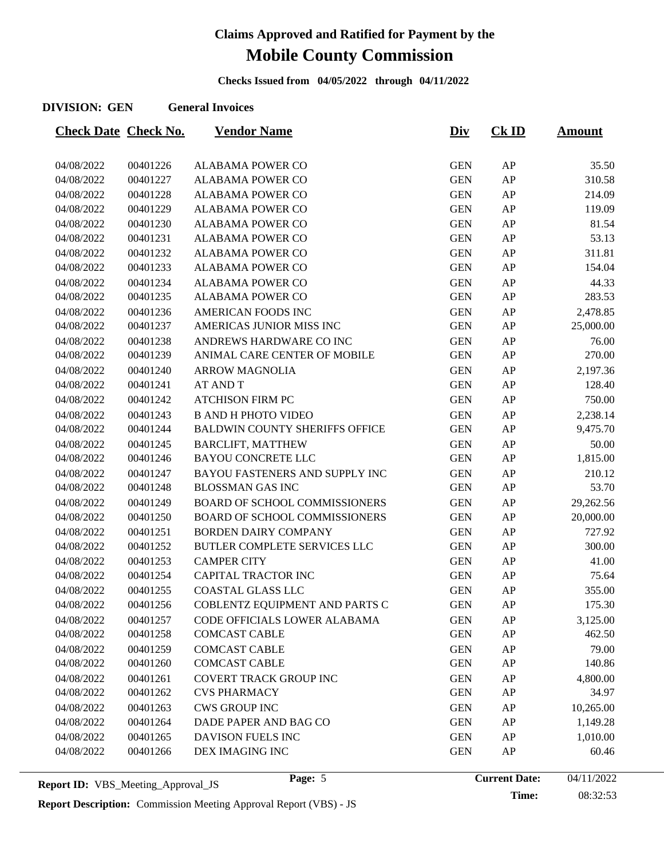**Checks Issued from 04/05/2022 through 04/11/2022**

#### **DIVISION: GEN General Invoices**

| <b>Check Date Check No.</b> |                      | <b>Vendor Name</b>                                                  | <b>Div</b>               | $CK$ ID    | <u>Amount</u>      |
|-----------------------------|----------------------|---------------------------------------------------------------------|--------------------------|------------|--------------------|
|                             |                      |                                                                     |                          |            |                    |
| 04/08/2022                  | 00401226             | <b>ALABAMA POWER CO</b><br><b>ALABAMA POWER CO</b>                  | <b>GEN</b>               | AP<br>AP   | 35.50              |
| 04/08/2022<br>04/08/2022    | 00401227             |                                                                     | <b>GEN</b><br><b>GEN</b> |            | 310.58             |
| 04/08/2022                  | 00401228<br>00401229 | <b>ALABAMA POWER CO</b><br><b>ALABAMA POWER CO</b>                  | <b>GEN</b>               | AP<br>AP   | 214.09<br>119.09   |
| 04/08/2022                  | 00401230             | <b>ALABAMA POWER CO</b>                                             | <b>GEN</b>               | AP         | 81.54              |
| 04/08/2022                  | 00401231             | <b>ALABAMA POWER CO</b>                                             | <b>GEN</b>               | AP         | 53.13              |
| 04/08/2022                  | 00401232             | <b>ALABAMA POWER CO</b>                                             | <b>GEN</b>               | AP         | 311.81             |
| 04/08/2022                  | 00401233             | <b>ALABAMA POWER CO</b>                                             | <b>GEN</b>               | AP         | 154.04             |
|                             | 00401234             | <b>ALABAMA POWER CO</b>                                             | <b>GEN</b>               | AP         | 44.33              |
| 04/08/2022<br>04/08/2022    | 00401235             | <b>ALABAMA POWER CO</b>                                             | <b>GEN</b>               | ${\sf AP}$ | 283.53             |
| 04/08/2022                  | 00401236             | <b>AMERICAN FOODS INC</b>                                           | <b>GEN</b>               | AP         | 2,478.85           |
| 04/08/2022                  | 00401237             | AMERICAS JUNIOR MISS INC                                            | <b>GEN</b>               | ${\sf AP}$ | 25,000.00          |
|                             | 00401238             | ANDREWS HARDWARE CO INC                                             |                          |            |                    |
| 04/08/2022<br>04/08/2022    | 00401239             | ANIMAL CARE CENTER OF MOBILE                                        | <b>GEN</b><br><b>GEN</b> | AP<br>AP   | 76.00<br>270.00    |
| 04/08/2022                  | 00401240             | <b>ARROW MAGNOLIA</b>                                               | <b>GEN</b>               | AP         |                    |
| 04/08/2022                  | 00401241             | <b>AT AND T</b>                                                     | <b>GEN</b>               | AP         | 2,197.36<br>128.40 |
|                             |                      | <b>ATCHISON FIRM PC</b>                                             |                          |            |                    |
| 04/08/2022                  | 00401242             |                                                                     | <b>GEN</b>               | AP         | 750.00             |
| 04/08/2022                  | 00401243             | <b>B AND H PHOTO VIDEO</b><br><b>BALDWIN COUNTY SHERIFFS OFFICE</b> | <b>GEN</b>               | AP         | 2,238.14           |
| 04/08/2022                  | 00401244             |                                                                     | <b>GEN</b>               | AP         | 9,475.70           |
| 04/08/2022                  | 00401245             | <b>BARCLIFT, MATTHEW</b>                                            | <b>GEN</b>               | AP         | 50.00              |
| 04/08/2022                  | 00401246             | <b>BAYOU CONCRETE LLC</b>                                           | <b>GEN</b>               | AP         | 1,815.00           |
| 04/08/2022                  | 00401247             | BAYOU FASTENERS AND SUPPLY INC                                      | <b>GEN</b>               | AP         | 210.12             |
| 04/08/2022                  | 00401248             | <b>BLOSSMAN GAS INC</b>                                             | <b>GEN</b>               | AP         | 53.70              |
| 04/08/2022                  | 00401249             | <b>BOARD OF SCHOOL COMMISSIONERS</b>                                | <b>GEN</b>               | ${\sf AP}$ | 29,262.56          |
| 04/08/2022                  | 00401250             | <b>BOARD OF SCHOOL COMMISSIONERS</b>                                | <b>GEN</b>               | AP         | 20,000.00          |
| 04/08/2022                  | 00401251             | <b>BORDEN DAIRY COMPANY</b>                                         | <b>GEN</b>               | AP         | 727.92             |
| 04/08/2022                  | 00401252             | BUTLER COMPLETE SERVICES LLC                                        | <b>GEN</b>               | ${\sf AP}$ | 300.00             |
| 04/08/2022                  | 00401253             | <b>CAMPER CITY</b>                                                  | <b>GEN</b>               | ${\sf AP}$ | 41.00              |
| 04/08/2022                  | 00401254             | CAPITAL TRACTOR INC                                                 | <b>GEN</b>               | ${\sf AP}$ | 75.64              |
| 04/08/2022                  | 00401255             | <b>COASTAL GLASS LLC</b>                                            | <b>GEN</b>               | AP         | 355.00             |
| 04/08/2022                  | 00401256             | COBLENTZ EQUIPMENT AND PARTS C                                      | <b>GEN</b>               | AP         | 175.30             |
| 04/08/2022                  | 00401257             | CODE OFFICIALS LOWER ALABAMA                                        | <b>GEN</b>               | AP         | 3,125.00           |
| 04/08/2022                  | 00401258             | <b>COMCAST CABLE</b>                                                | <b>GEN</b>               | AP         | 462.50             |
| 04/08/2022                  | 00401259             | <b>COMCAST CABLE</b>                                                | <b>GEN</b>               | AP         | 79.00              |
| 04/08/2022                  | 00401260             | <b>COMCAST CABLE</b>                                                | <b>GEN</b>               | AP         | 140.86             |
| 04/08/2022                  | 00401261             | <b>COVERT TRACK GROUP INC</b>                                       | <b>GEN</b>               | AP         | 4,800.00           |
| 04/08/2022                  | 00401262             | <b>CVS PHARMACY</b>                                                 | <b>GEN</b>               | ${\sf AP}$ | 34.97              |
| 04/08/2022                  | 00401263             | <b>CWS GROUP INC</b>                                                | <b>GEN</b>               | AP         | 10,265.00          |
| 04/08/2022                  | 00401264             | DADE PAPER AND BAG CO                                               | <b>GEN</b>               | AP         | 1,149.28           |
| 04/08/2022                  | 00401265             | DAVISON FUELS INC                                                   | <b>GEN</b>               | AP         | 1,010.00           |
| 04/08/2022                  | 00401266             | DEX IMAGING INC                                                     | <b>GEN</b>               | AP         | 60.46              |

**Report Description:** Commission Meeting Approval Report (VBS) - JS

**Time:** 08:32:53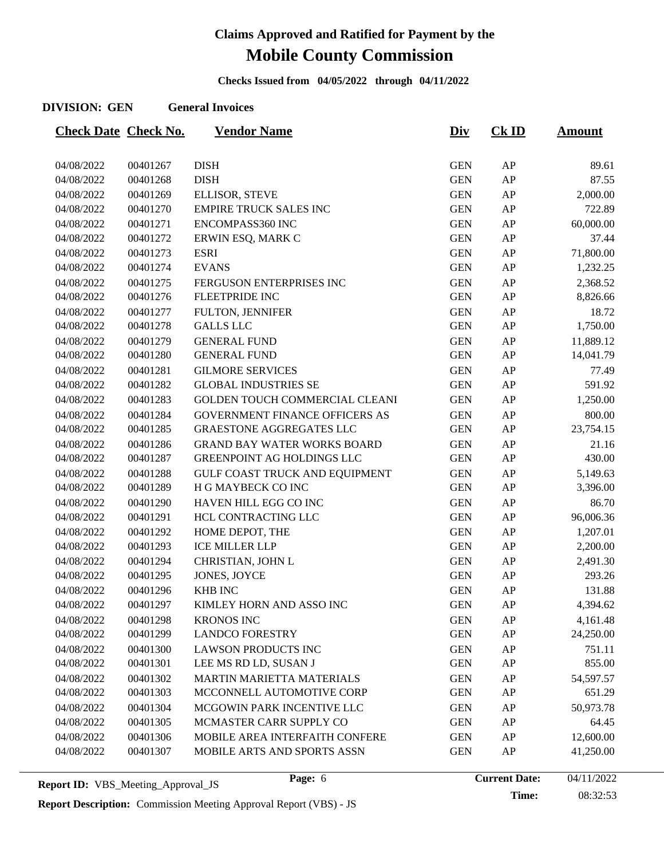**Checks Issued from 04/05/2022 through 04/11/2022**

#### **DIVISION: GEN General Invoices**

| <b>Check Date Check No.</b> |          | <b>Vendor Name</b>                    | <u>Div</u> | $CK$ ID    | <b>Amount</b> |
|-----------------------------|----------|---------------------------------------|------------|------------|---------------|
|                             |          |                                       |            |            |               |
| 04/08/2022                  | 00401267 | <b>DISH</b>                           | <b>GEN</b> | ${\sf AP}$ | 89.61         |
| 04/08/2022                  | 00401268 | <b>DISH</b>                           | <b>GEN</b> | AP         | 87.55         |
| 04/08/2022                  | 00401269 | ELLISOR, STEVE                        | <b>GEN</b> | AP         | 2,000.00      |
| 04/08/2022                  | 00401270 | <b>EMPIRE TRUCK SALES INC</b>         | <b>GEN</b> | AP         | 722.89        |
| 04/08/2022                  | 00401271 | ENCOMPASS360 INC                      | <b>GEN</b> | AP         | 60,000.00     |
| 04/08/2022                  | 00401272 | ERWIN ESQ, MARK C                     | <b>GEN</b> | AP         | 37.44         |
| 04/08/2022                  | 00401273 | <b>ESRI</b>                           | <b>GEN</b> | AP         | 71,800.00     |
| 04/08/2022                  | 00401274 | <b>EVANS</b>                          | <b>GEN</b> | AP         | 1,232.25      |
| 04/08/2022                  | 00401275 | FERGUSON ENTERPRISES INC              | <b>GEN</b> | AP         | 2,368.52      |
| 04/08/2022                  | 00401276 | <b>FLEETPRIDE INC</b>                 | <b>GEN</b> | AP         | 8,826.66      |
| 04/08/2022                  | 00401277 | FULTON, JENNIFER                      | <b>GEN</b> | AP         | 18.72         |
| 04/08/2022                  | 00401278 | <b>GALLS LLC</b>                      | <b>GEN</b> | ${\sf AP}$ | 1,750.00      |
| 04/08/2022                  | 00401279 | <b>GENERAL FUND</b>                   | <b>GEN</b> | ${\sf AP}$ | 11,889.12     |
| 04/08/2022                  | 00401280 | <b>GENERAL FUND</b>                   | <b>GEN</b> | AP         | 14,041.79     |
| 04/08/2022                  | 00401281 | <b>GILMORE SERVICES</b>               | <b>GEN</b> | AP         | 77.49         |
| 04/08/2022                  | 00401282 | <b>GLOBAL INDUSTRIES SE</b>           | <b>GEN</b> | ${\sf AP}$ | 591.92        |
| 04/08/2022                  | 00401283 | GOLDEN TOUCH COMMERCIAL CLEANI        | <b>GEN</b> | AP         | 1,250.00      |
| 04/08/2022                  | 00401284 | <b>GOVERNMENT FINANCE OFFICERS AS</b> | <b>GEN</b> | AP         | 800.00        |
| 04/08/2022                  | 00401285 | <b>GRAESTONE AGGREGATES LLC</b>       | <b>GEN</b> | AP         | 23,754.15     |
| 04/08/2022                  | 00401286 | <b>GRAND BAY WATER WORKS BOARD</b>    | <b>GEN</b> | AP         | 21.16         |
| 04/08/2022                  | 00401287 | GREENPOINT AG HOLDINGS LLC            | <b>GEN</b> | ${\sf AP}$ | 430.00        |
| 04/08/2022                  | 00401288 | <b>GULF COAST TRUCK AND EQUIPMENT</b> | <b>GEN</b> | AP         | 5,149.63      |
| 04/08/2022                  | 00401289 | H G MAYBECK CO INC                    | <b>GEN</b> | AP         | 3,396.00      |
| 04/08/2022                  | 00401290 | HAVEN HILL EGG CO INC                 | <b>GEN</b> | AP         | 86.70         |
| 04/08/2022                  | 00401291 | HCL CONTRACTING LLC                   | <b>GEN</b> | ${\sf AP}$ | 96,006.36     |
| 04/08/2022                  | 00401292 | HOME DEPOT, THE                       | <b>GEN</b> | AP         | 1,207.01      |
| 04/08/2022                  | 00401293 | <b>ICE MILLER LLP</b>                 | <b>GEN</b> | AP         | 2,200.00      |
| 04/08/2022                  | 00401294 | CHRISTIAN, JOHN L                     | <b>GEN</b> | AP         | 2,491.30      |
| 04/08/2022                  | 00401295 | JONES, JOYCE                          | <b>GEN</b> | ${\sf AP}$ | 293.26        |
| 04/08/2022                  | 00401296 | <b>KHB INC</b>                        | <b>GEN</b> | AP         | 131.88        |
| 04/08/2022                  | 00401297 | KIMLEY HORN AND ASSO INC              | <b>GEN</b> | AP         | 4,394.62      |
| 04/08/2022                  | 00401298 | <b>KRONOS INC</b>                     | <b>GEN</b> | AP         | 4,161.48      |
| 04/08/2022                  | 00401299 | <b>LANDCO FORESTRY</b>                | <b>GEN</b> | AP         | 24,250.00     |
| 04/08/2022                  | 00401300 | <b>LAWSON PRODUCTS INC</b>            | <b>GEN</b> | AP         | 751.11        |
| 04/08/2022                  | 00401301 | LEE MS RD LD, SUSAN J                 | <b>GEN</b> | AP         | 855.00        |
| 04/08/2022                  | 00401302 | MARTIN MARIETTA MATERIALS             | <b>GEN</b> | ${\sf AP}$ | 54,597.57     |
| 04/08/2022                  | 00401303 | MCCONNELL AUTOMOTIVE CORP             | <b>GEN</b> | AP         | 651.29        |
| 04/08/2022                  | 00401304 | MCGOWIN PARK INCENTIVE LLC            | <b>GEN</b> | AP         | 50,973.78     |
| 04/08/2022                  | 00401305 | MCMASTER CARR SUPPLY CO               | <b>GEN</b> | AP         | 64.45         |
| 04/08/2022                  | 00401306 | MOBILE AREA INTERFAITH CONFERE        | <b>GEN</b> | ${\sf AP}$ | 12,600.00     |
| 04/08/2022                  | 00401307 | MOBILE ARTS AND SPORTS ASSN           | <b>GEN</b> | AP         | 41,250.00     |
|                             |          |                                       |            |            |               |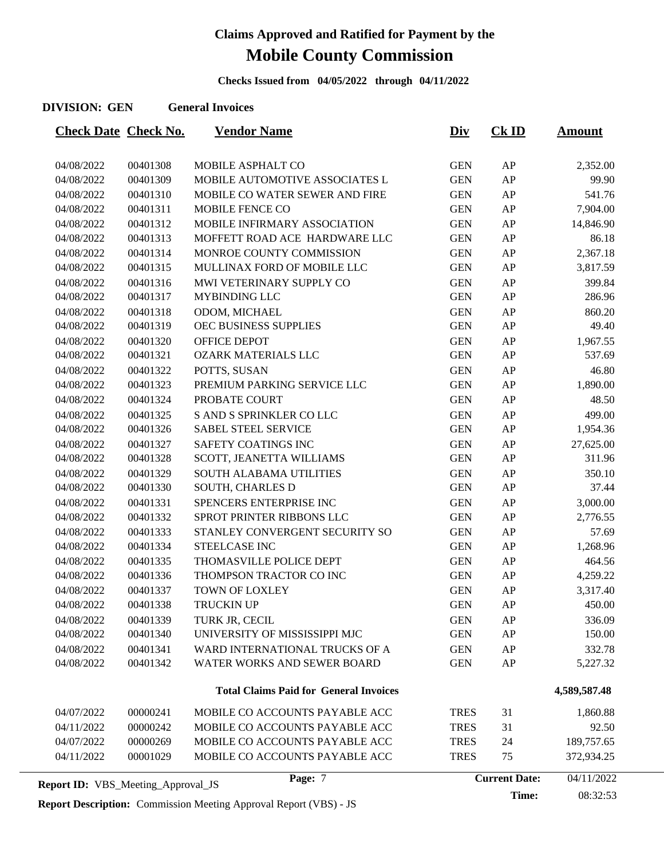**Checks Issued from 04/05/2022 through 04/11/2022**

#### **DIVISION: GEN General Invoices**

| <b>Check Date Check No.</b>               |          | <b>Vendor Name</b>                            | <u>Div</u>  | $CK$ ID              | <b>Amount</b> |
|-------------------------------------------|----------|-----------------------------------------------|-------------|----------------------|---------------|
| 04/08/2022                                | 00401308 | MOBILE ASPHALT CO                             | <b>GEN</b>  | AP                   | 2,352.00      |
| 04/08/2022                                | 00401309 | MOBILE AUTOMOTIVE ASSOCIATES L                | <b>GEN</b>  | AP                   | 99.90         |
| 04/08/2022                                | 00401310 | MOBILE CO WATER SEWER AND FIRE                | <b>GEN</b>  | AP                   | 541.76        |
| 04/08/2022                                | 00401311 | MOBILE FENCE CO                               | <b>GEN</b>  | AP                   | 7,904.00      |
| 04/08/2022                                | 00401312 | MOBILE INFIRMARY ASSOCIATION                  | <b>GEN</b>  | AP                   | 14,846.90     |
| 04/08/2022                                | 00401313 | MOFFETT ROAD ACE HARDWARE LLC                 | <b>GEN</b>  | AP                   | 86.18         |
| 04/08/2022                                | 00401314 | MONROE COUNTY COMMISSION                      | <b>GEN</b>  | AP                   | 2,367.18      |
| 04/08/2022                                | 00401315 | MULLINAX FORD OF MOBILE LLC                   | <b>GEN</b>  | AP                   | 3,817.59      |
| 04/08/2022                                | 00401316 | MWI VETERINARY SUPPLY CO                      | <b>GEN</b>  | AP                   | 399.84        |
| 04/08/2022                                | 00401317 | MYBINDING LLC                                 | <b>GEN</b>  | AP                   | 286.96        |
| 04/08/2022                                | 00401318 | ODOM, MICHAEL                                 | <b>GEN</b>  | AP                   | 860.20        |
| 04/08/2022                                | 00401319 | OEC BUSINESS SUPPLIES                         | <b>GEN</b>  | AP                   | 49.40         |
| 04/08/2022                                | 00401320 | OFFICE DEPOT                                  | <b>GEN</b>  | AP                   | 1,967.55      |
| 04/08/2022                                | 00401321 | <b>OZARK MATERIALS LLC</b>                    | <b>GEN</b>  | AP                   | 537.69        |
| 04/08/2022                                | 00401322 | POTTS, SUSAN                                  | <b>GEN</b>  | AP                   | 46.80         |
| 04/08/2022                                | 00401323 | PREMIUM PARKING SERVICE LLC                   | <b>GEN</b>  | AP                   | 1,890.00      |
| 04/08/2022                                | 00401324 | PROBATE COURT                                 | <b>GEN</b>  | AP                   | 48.50         |
| 04/08/2022                                | 00401325 | S AND S SPRINKLER CO LLC                      | <b>GEN</b>  | AP                   | 499.00        |
| 04/08/2022                                | 00401326 | <b>SABEL STEEL SERVICE</b>                    | <b>GEN</b>  | AP                   | 1,954.36      |
| 04/08/2022                                | 00401327 | SAFETY COATINGS INC                           | <b>GEN</b>  | AP                   | 27,625.00     |
| 04/08/2022                                | 00401328 | SCOTT, JEANETTA WILLIAMS                      | <b>GEN</b>  | AP                   | 311.96        |
| 04/08/2022                                | 00401329 | <b>SOUTH ALABAMA UTILITIES</b>                | <b>GEN</b>  | AP                   | 350.10        |
| 04/08/2022                                | 00401330 | SOUTH, CHARLES D                              | <b>GEN</b>  | AP                   | 37.44         |
| 04/08/2022                                | 00401331 | SPENCERS ENTERPRISE INC                       | <b>GEN</b>  | AP                   | 3,000.00      |
| 04/08/2022                                | 00401332 | SPROT PRINTER RIBBONS LLC                     | <b>GEN</b>  | AP                   | 2,776.55      |
| 04/08/2022                                | 00401333 | STANLEY CONVERGENT SECURITY SO                | <b>GEN</b>  | AP                   | 57.69         |
| 04/08/2022                                | 00401334 | STEELCASE INC                                 | <b>GEN</b>  | AP                   | 1,268.96      |
| 04/08/2022                                | 00401335 | THOMASVILLE POLICE DEPT                       | <b>GEN</b>  | AP                   | 464.56        |
| 04/08/2022                                | 00401336 | THOMPSON TRACTOR CO INC                       | <b>GEN</b>  | AP                   | 4,259.22      |
| 04/08/2022                                | 00401337 | <b>TOWN OF LOXLEY</b>                         | <b>GEN</b>  | AP                   | 3,317.40      |
| 04/08/2022                                | 00401338 | TRUCKIN UP                                    | <b>GEN</b>  | AP                   | 450.00        |
| 04/08/2022                                | 00401339 | TURK JR, CECIL                                | <b>GEN</b>  | AP                   | 336.09        |
| 04/08/2022                                | 00401340 | UNIVERSITY OF MISSISSIPPI MJC                 | <b>GEN</b>  | AP                   | 150.00        |
| 04/08/2022                                | 00401341 | WARD INTERNATIONAL TRUCKS OF A                | <b>GEN</b>  | AP                   | 332.78        |
| 04/08/2022                                | 00401342 | WATER WORKS AND SEWER BOARD                   | <b>GEN</b>  | AP                   | 5,227.32      |
|                                           |          | <b>Total Claims Paid for General Invoices</b> |             |                      | 4,589,587.48  |
| 04/07/2022                                | 00000241 | MOBILE CO ACCOUNTS PAYABLE ACC                | <b>TRES</b> | 31                   | 1,860.88      |
| 04/11/2022                                | 00000242 | MOBILE CO ACCOUNTS PAYABLE ACC                | <b>TRES</b> | 31                   | 92.50         |
| 04/07/2022                                | 00000269 | MOBILE CO ACCOUNTS PAYABLE ACC                | <b>TRES</b> | 24                   | 189,757.65    |
| 04/11/2022                                | 00001029 | MOBILE CO ACCOUNTS PAYABLE ACC                | <b>TRES</b> | 75                   | 372,934.25    |
| <b>Report ID: VBS_Meeting_Approval_JS</b> |          | Page: 7                                       |             | <b>Current Date:</b> | 04/11/2022    |

**Time:** 08:32:53

**Report Description:** Commission Meeting Approval Report (VBS) - JS